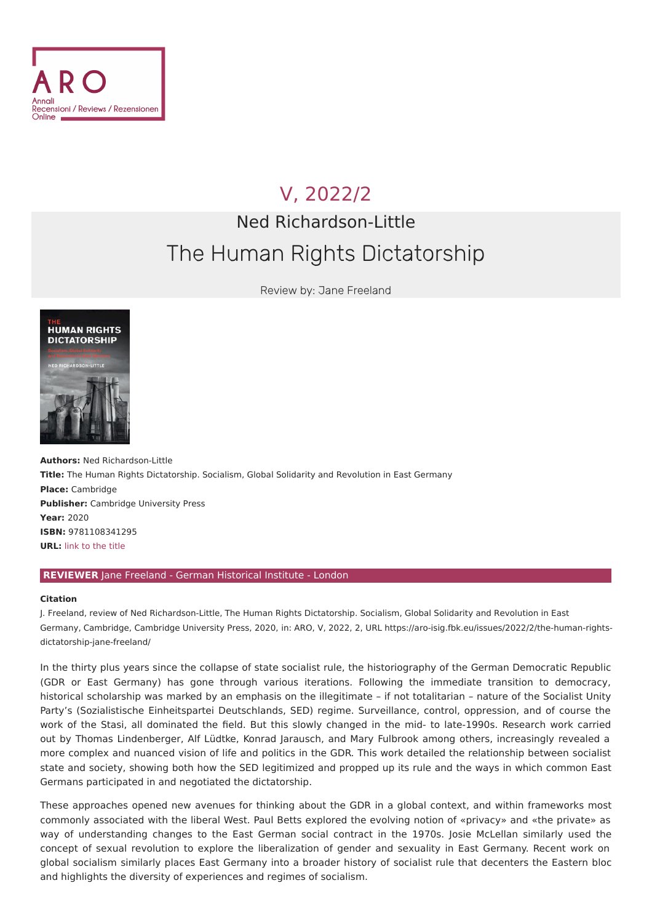

## V, [2022/2](file:///issues/2022/2/)

## Ned Richardson-Little The Human Rights Dictatorship

Review by: Jane Freeland



**Authors: Ned Richardson-Little Title:** The Human Rights Dictatorship. Socialism, Global Solidarity and Revolution in East Germany **Place:** Cambridge **Publisher:** Cambridge University Press **Year:** 2020 **ISBN:** 9781108341295 **URL:** link to the [title](https://www.cambridge.org/core/books/human-rights-dictatorship/CA24E3C6642E790BAEA9D806F492EFB2)

## **REVIEWER** Jane Freeland - German Historical Institute - London

## **Citation**

J. Freeland, review of Ned Richardson-Little, The Human Rights Dictatorship. Socialism, Global Solidarity and Revolution in East Germany, Cambridge, Cambridge University Press, 2020, in: ARO, V, 2022, 2, URL [https://aro-isig.fbk.eu/issues/2022/2/the-human-rights](https://aro-isig.fbk.eu/issues/2022/2/the-human-rights-dictatorship-jane-freeland/)dictatorship-jane-freeland/

In the thirty plus years since the collapse of state socialist rule, the historiography of the German Democratic Republic (GDR or East Germany) has gone through various iterations. Following the immediate transition to democracy, historical scholarship was marked by an emphasis on the illegitimate – if not totalitarian – nature of the Socialist Unity Party's (Sozialistische Einheitspartei Deutschlands, SED) regime. Surveillance, control, oppression, and of course the work of the Stasi, all dominated the field. But this slowly changed in the mid- to late-1990s. Research work carried out by Thomas Lindenberger, Alf Lüdtke, Konrad Jarausch, and Mary Fulbrook among others, increasingly revealed a more complex and nuanced vision of life and politics in the GDR. This work detailed the relationship between socialist state and society, showing both how the SED legitimized and propped up its rule and the ways in which common East Germans participated in and negotiated the dictatorship.

These approaches opened new avenues for thinking about the GDR in a global context, and within frameworks most commonly associated with the liberal West. Paul Betts explored the evolving notion of «privacy» and «the private» as way of understanding changes to the East German social contract in the 1970s. Josie McLellan similarly used the concept of sexual revolution to explore the liberalization of gender and sexuality in East Germany. Recent work on global socialism similarly places East Germany into a broader history of socialist rule that decenters the Eastern bloc and highlights the diversity of experiences and regimes of socialism.